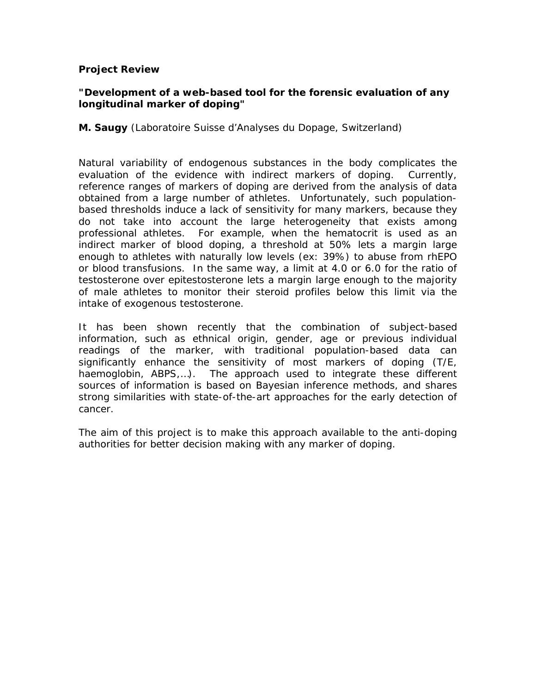#### **Project Review**

# **"Development of a web-based tool for the forensic evaluation of any longitudinal marker of doping"**

**M. Saugy** (Laboratoire Suisse d'Analyses du Dopage, Switzerland)

Natural variability of endogenous substances in the body complicates the evaluation of the evidence with indirect markers of doping. Currently, reference ranges of markers of doping are derived from the analysis of data obtained from a large number of athletes. Unfortunately, such populationbased thresholds induce a lack of sensitivity for many markers, because they do not take into account the large heterogeneity that exists among professional athletes. For example, when the hematocrit is used as an indirect marker of blood doping, a threshold at 50% lets a margin large enough to athletes with naturally low levels (ex: 39%) to abuse from rhEPO or blood transfusions. In the same way, a limit at 4.0 or 6.0 for the ratio of testosterone over epitestosterone lets a margin large enough to the majority of male athletes to monitor their steroid profiles below this limit via the intake of exogenous testosterone.

It has been shown recently that the combination of subject-based information, such as ethnical origin, gender, age or previous individual readings of the marker, with traditional population-based data can significantly enhance the sensitivity of most markers of doping (T/E, haemoglobin, ABPS,…). The approach used to integrate these different sources of information is based on Bayesian inference methods, and shares strong similarities with state-of-the-art approaches for the early detection of cancer.

The aim of this project is to make this approach available to the anti-doping authorities for better decision making with any marker of doping.